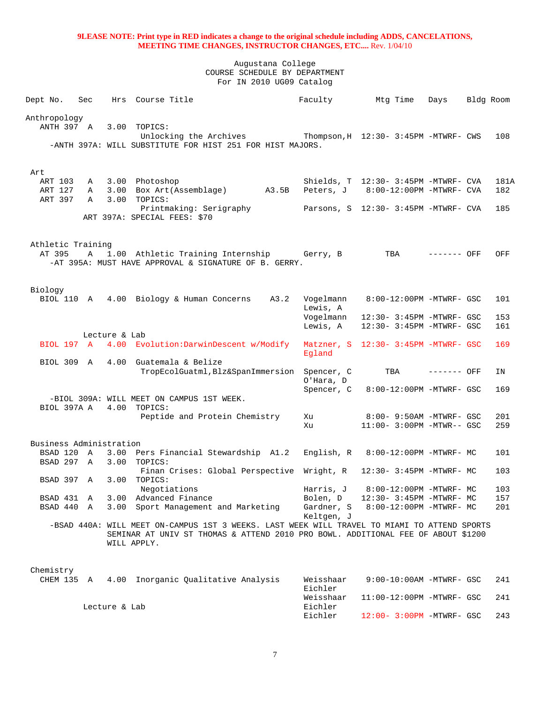| Dept No.                | Sec          |               | Hrs Course Title                                                                             | Faculty                 | Mtg Time                                    | Days        | Bldg Room |      |
|-------------------------|--------------|---------------|----------------------------------------------------------------------------------------------|-------------------------|---------------------------------------------|-------------|-----------|------|
| Anthropology            |              |               |                                                                                              |                         |                                             |             |           |      |
| ANTH 397 A              |              |               | 3.00 TOPICS:                                                                                 |                         |                                             |             |           |      |
|                         |              |               | Unlocking the Archives Thompson, H 12:30- 3:45PM -MTWRF- CWS                                 |                         |                                             |             |           | 108  |
|                         |              |               | -ANTH 397A: WILL SUBSTITUTE FOR HIST 251 FOR HIST MAJORS.                                    |                         |                                             |             |           |      |
|                         |              |               |                                                                                              |                         |                                             |             |           |      |
| Art                     |              |               |                                                                                              |                         |                                             |             |           |      |
| ART 103                 | A            |               | 3.00 Photoshop                                                                               |                         | Shields, $T = 12:30 - 3:45PM - MTWRF - CVA$ |             |           | 181A |
| ART 127<br>ART 397      | A<br>A       | 3.00          | 3.00 Box Art(Assemblage) A3.5B<br>TOPICS:                                                    |                         | Peters, J 8:00-12:00PM -MTWRF- CVA          |             |           | 182  |
|                         |              |               | Printmaking: Serigraphy                                                                      |                         | Parsons, S 12:30- 3:45PM -MTWRF- CVA        |             |           | 185  |
|                         |              |               | ART 397A: SPECIAL FEES: \$70                                                                 |                         |                                             |             |           |      |
|                         |              |               |                                                                                              |                         |                                             |             |           |      |
| Athletic Training       |              |               |                                                                                              |                         |                                             |             |           |      |
| AT 395                  | $\mathbf{A}$ |               | 1.00 Athletic Training Internship Gerry, B                                                   |                         | TBA                                         | ------- OFF |           | OFF  |
|                         |              |               | -AT 395A: MUST HAVE APPROVAL & SIGNATURE OF B. GERRY.                                        |                         |                                             |             |           |      |
|                         |              |               |                                                                                              |                         |                                             |             |           |      |
| Biology                 |              |               |                                                                                              |                         |                                             |             |           |      |
|                         |              |               | BIOL 110 A 4.00 Biology & Human Concerns<br>A3.2                                             | Vogelmann               | 8:00-12:00PM -MTWRF- GSC                    |             |           | 101  |
|                         |              |               |                                                                                              | Lewis, A                |                                             |             |           |      |
|                         |              |               |                                                                                              | Voqelmann               | 12:30- 3:45PM -MTWRF- GSC                   |             |           | 153  |
|                         |              | Lecture & Lab |                                                                                              | Lewis, A                | 12:30- 3:45PM -MTWRF- GSC                   |             |           | 161  |
| BIOL 197 A              |              |               | 4.00 Evolution: DarwinDescent w/Modify                                                       |                         | Matzner, S 12:30- 3:45PM -MTWRF- GSC        |             |           | 169  |
|                         |              |               |                                                                                              | Eqland                  |                                             |             |           |      |
| BIOL 309 A              |              |               | 4.00 Guatemala & Belize                                                                      |                         |                                             |             |           |      |
|                         |              |               | TropEcolGuatml, Blz&SpanImmersion                                                            | Spencer, C              | TBA                                         | ------- OFF |           | ΙN   |
|                         |              |               |                                                                                              | O'Hara, D<br>Spencer, C | 8:00-12:00PM -MTWRF- GSC                    |             |           | 169  |
|                         |              |               | -BIOL 309A: WILL MEET ON CAMPUS 1ST WEEK.                                                    |                         |                                             |             |           |      |
| BIOL 397A A             |              |               | 4.00 TOPICS:                                                                                 |                         |                                             |             |           |      |
|                         |              |               | Peptide and Protein Chemistry                                                                | Xu                      | 8:00- 9:50AM -MTWRF- GSC                    |             |           | 201  |
|                         |              |               |                                                                                              | Xu                      | 11:00- 3:00PM -MTWR-- GSC                   |             |           | 259  |
| Business Administration |              |               |                                                                                              |                         |                                             |             |           |      |
| BSAD 120 A              |              |               | 3.00 Pers Financial Stewardship A1.2                                                         |                         | English, $R = 8:00-12:00PM - MTWRF - MC$    |             |           | 101  |
| BSAD 297 A              |              | 3.00          | TOPICS:                                                                                      |                         |                                             |             |           |      |
| BSAD 397 A              |              |               | Finan Crises: Global Perspective Wright, R<br>3.00 TOPICS:                                   |                         | 12:30- 3:45PM -MTWRF- MC                    |             |           | 103  |
|                         |              |               | Negotiations                                                                                 |                         | Harris, $J = 8:00-12:00PM -MTWRF - MC$      |             |           | 103  |
| BSAD 431 A              |              |               | 3.00 Advanced Finance                                                                        | Bolen, D                | 12:30- 3:45PM -MTWRF- MC                    |             |           | 157  |
| BSAD 440 A              |              |               | 3.00 Sport Management and Marketing                                                          | Gardner, S              | 8:00-12:00PM -MTWRF- MC                     |             |           | 201  |
|                         |              |               | -BSAD 440A: WILL MEET ON-CAMPUS 1ST 3 WEEKS. LAST WEEK WILL TRAVEL TO MIAMI TO ATTEND SPORTS | Keltgen, J              |                                             |             |           |      |
|                         |              |               | SEMINAR AT UNIV ST THOMAS & ATTEND 2010 PRO BOWL. ADDITIONAL FEE OF ABOUT \$1200             |                         |                                             |             |           |      |
|                         |              |               | WILL APPLY.                                                                                  |                         |                                             |             |           |      |
|                         |              |               |                                                                                              |                         |                                             |             |           |      |
|                         |              |               |                                                                                              |                         |                                             |             |           |      |
| Chemistry<br>CHEM 135 A |              |               | 4.00 Inorganic Qualitative Analysis                                                          | Weisshaar               | $9:00-10:00$ AM -MTWRF- GSC                 |             |           | 241  |
|                         |              |               |                                                                                              | Eichler                 |                                             |             |           |      |
|                         |              |               |                                                                                              | Weisshaar               | 11:00-12:00PM -MTWRF- GSC                   |             |           | 241  |
|                         |              | Lecture & Lab |                                                                                              | Eichler                 |                                             |             |           |      |
|                         |              |               |                                                                                              | Eichler                 | 12:00- 3:00PM -MTWRF- GSC                   |             |           | 243  |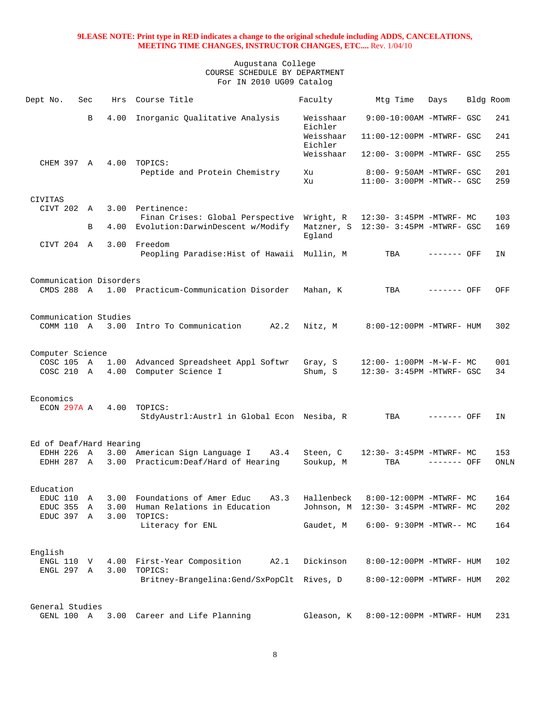| Dept No.                             | Sec | Hrs                  | Course Title                                                                                                                 | Faculty              | Mtg Time                                                       | Days        | Bldg Room |            |
|--------------------------------------|-----|----------------------|------------------------------------------------------------------------------------------------------------------------------|----------------------|----------------------------------------------------------------|-------------|-----------|------------|
|                                      | B   | 4.00                 | Inorganic Qualitative Analysis                                                                                               | Weisshaar<br>Eichler | $9:00-10:00$ AM -MTWRF- GSC                                    |             |           | 241        |
|                                      |     |                      |                                                                                                                              | Weisshaar<br>Eichler | 11:00-12:00PM -MTWRF- GSC                                      |             |           | 241        |
| CHEM 397 A                           |     |                      | 4.00 TOPICS:                                                                                                                 | Weisshaar            | 12:00- 3:00PM -MTWRF- GSC                                      |             |           | 255        |
|                                      |     |                      | Peptide and Protein Chemistry                                                                                                | Xu<br>Xu             | 8:00- 9:50AM -MTWRF- GSC<br>11:00- 3:00PM -MTWR-- GSC          |             |           | 201<br>259 |
| CIVITAS                              |     |                      |                                                                                                                              |                      |                                                                |             |           |            |
| CIVT 202 A                           | B   | 3.00                 | Pertinence:<br>Finan Crises: Global Perspective Wright, R 12:30- 3:45PM -MTWRF- MC<br>4.00 Evolution: DarwinDescent w/Modify |                      | Matzner, S 12:30- 3:45PM -MTWRF- GSC                           |             |           | 103<br>169 |
|                                      |     |                      |                                                                                                                              | Egland               |                                                                |             |           |            |
| CIVT 204 A                           |     |                      | 3.00 Freedom<br>Peopling Paradise: Hist of Hawaii Mullin, M                                                                  |                      | TBA                                                            | ------- OFF |           | ΙN         |
| Communication Disorders              |     |                      |                                                                                                                              |                      |                                                                |             |           |            |
| CMDS 288 A                           |     |                      | 1.00 Practicum-Communication Disorder                                                                                        | Mahan, K             | TBA                                                            | ------- OFF |           | OFF        |
| Communication Studies                |     |                      |                                                                                                                              |                      |                                                                |             |           |            |
| COMM 110 A                           |     |                      | 3.00 Intro To Communication<br>A2.2                                                                                          | Nitz, M              | 8:00-12:00PM -MTWRF- HUM                                       |             |           | 302        |
| Computer Science                     |     |                      |                                                                                                                              |                      |                                                                |             |           |            |
| COSC 105 A<br>COSC 210 A             |     | 1.00<br>4.00         | Advanced Spreadsheet Appl Softwr<br>Computer Science I                                                                       | Gray, S<br>Shum, S   | $12:00 - 1:00PM - M - W - F - MC$<br>12:30- 3:45PM -MTWRF- GSC |             |           | 001<br>34  |
|                                      |     |                      |                                                                                                                              |                      |                                                                |             |           |            |
| Economics<br>ECON 297A A             |     | 4.00                 | TOPICS:<br>StdyAustrl: Austrl in Global Econ Nesiba, R                                                                       |                      | TBA                                                            | ------- OFF |           | ΙN         |
| Ed of Deaf/Hard Hearing              |     |                      |                                                                                                                              |                      |                                                                |             |           |            |
| EDHH 226 A                           |     | 3.00                 | American Sign Language I<br>A3.4                                                                                             | Steen, C             | 12:30- 3:45PM -MTWRF- MC                                       |             |           | 153        |
| EDHH 287 A                           |     |                      | 3.00 Practicum: Deaf/Hard of Hearing                                                                                         | Soukup, M            | TBA                                                            | ------- OFF |           | ONLN       |
| Education                            |     |                      |                                                                                                                              |                      |                                                                |             |           |            |
| EDUC 110 A<br>EDUC 355<br>EDUC 397 A | A   | 3.00<br>3.00<br>3.00 | Foundations of Amer Educ<br>A3.3<br>Human Relations in Education<br>TOPICS:                                                  | Hallenbeck           | 8:00-12:00PM -MTWRF- MC<br>Johnson, M 12:30- 3:45PM -MTWRF- MC |             |           | 164<br>202 |
|                                      |     |                      | Literacy for ENL                                                                                                             | Gaudet, M            | $6:00 - 9:30PM - MTWR-- MC$                                    |             |           | 164        |
| English                              |     |                      |                                                                                                                              |                      |                                                                |             |           |            |
| ENGL 110 V                           |     |                      | 4.00 First-Year Composition<br>A2.1                                                                                          | Dickinson            | 8:00-12:00PM -MTWRF- HUM                                       |             |           | 102        |
| ENGL 297 A                           |     | 3.00                 | TOPICS:<br>Britney-Brangelina:Gend/SxPopClt Rives, D                                                                         |                      | 8:00-12:00PM -MTWRF- HUM                                       |             |           | 202        |
| General Studies                      |     |                      |                                                                                                                              |                      |                                                                |             |           |            |
| GENL 100 A                           |     |                      | 3.00 Career and Life Planning                                                                                                | Gleason, K           | 8:00-12:00PM -MTWRF- HUM                                       |             |           | 231        |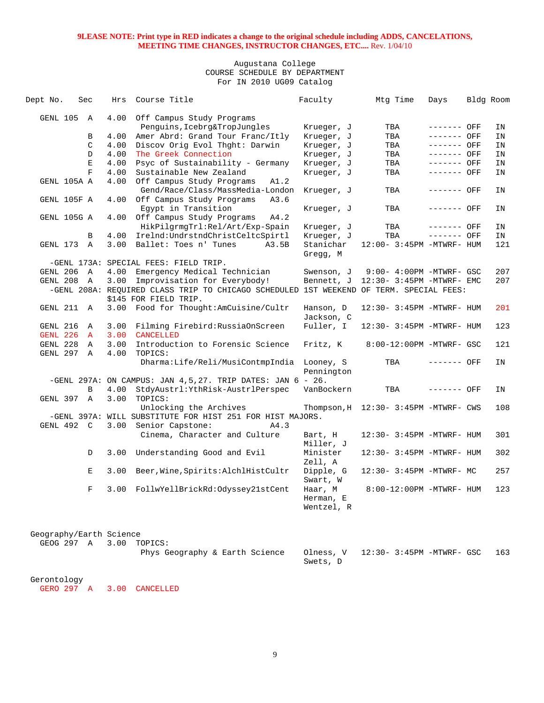## Augustana College COURSE SCHEDULE BY DEPARTMENT For IN 2010 UG09 Catalog

| Dept No.                | Sec                     | Hrs  | Course Title                                                                            | Faculty                 | Mtg Time                              | Days         | Bldg Room |     |
|-------------------------|-------------------------|------|-----------------------------------------------------------------------------------------|-------------------------|---------------------------------------|--------------|-----------|-----|
| GENL 105                | A                       | 4.00 | Off Campus Study Programs                                                               |                         |                                       |              |           |     |
|                         |                         |      | Penguins, Icebrg&TropJungles                                                            | Krueger, J              | TBA                                   | ------- OFF  |           | IN  |
|                         | B                       | 4.00 | Amer Abrd: Grand Tour Franc/Itly                                                        | Krueger, J              | TBA                                   | ------- OFF  |           | IN  |
|                         | $\mathcal{C}$           | 4.00 | Discov Orig Evol Thght: Darwin                                                          | Krueger, J              | TBA                                   | ------- OFF  |           | ΙN  |
|                         | D                       | 4.00 | The Greek Connection                                                                    | Krueger, J              | TBA                                   | $------$ OFF |           | IN  |
|                         | Ε                       | 4.00 | Psyc of Sustainability - Germany                                                        | Krueger, J              | TBA                                   | ------- OFF  |           | IN  |
|                         | $\overline{\mathbf{F}}$ | 4.00 | Sustainable New Zealand                                                                 | Krueger, J              | TBA                                   | ------- OFF  |           | IN  |
| GENL 105A A             |                         | 4.00 | Off Campus Study Programs<br>A1.2<br>Gend/Race/Class/MassMedia-London                   | Krueger, J              | TBA                                   | ------- OFF  |           | ΙN  |
| GENL 105F A             |                         |      | 4.00 Off Campus Study Programs<br>A3.6<br>Egypt in Transition                           | Krueger, J              | TBA                                   | ------- OFF  |           | ΙN  |
| GENL 105G A             |                         |      | 4.00 Off Campus Study Programs<br>A4.2                                                  |                         |                                       |              |           |     |
|                         |                         |      | HikPilgrmgTrl:Rel/Art/Exp-Spain                                                         | Krueger, J              | TBA                                   | ------- OFF  |           | IN  |
|                         | B                       | 4.00 | Irelnd:UndrstndChristCeltcSpirtl                                                        | Krueger, J              | TBA                                   | ------- OFF  |           | IN  |
| GENL 173                | $\mathbf{A}$            | 3.00 | Ballet: Toes n' Tunes<br>A3.5B                                                          | Stanichar               | 12:00- 3:45PM -MTWRF- HUM             |              |           | 121 |
|                         |                         |      |                                                                                         | Gregg, M                |                                       |              |           |     |
|                         |                         |      | -GENL 173A: SPECIAL FEES: FIELD TRIP.                                                   |                         |                                       |              |           |     |
| GENL 206 A              |                         | 4.00 | Emergency Medical Technician                                                            | Swenson, J              | 9:00- 4:00PM -MTWRF- GSC              |              |           | 207 |
| GENL 208                | $\overline{A}$          | 3.00 | Improvisation for Everybody!                                                            | Bennett, J              | 12:30- 3:45PM -MTWRF- EMC             |              |           | 207 |
|                         |                         |      | -GENL 208A: REQUIRED CLASS TRIP TO CHICAGO SCHEDULED 1ST WEEKEND OF TERM. SPECIAL FEES: |                         |                                       |              |           |     |
|                         |                         |      | \$145 FOR FIELD TRIP.                                                                   |                         |                                       |              |           |     |
| GENL 211 A              |                         |      | 3.00 Food for Thought: AmCuisine/Cultr                                                  | Hanson, D<br>Jackson, C | 12:30- 3:45PM -MTWRF- HUM             |              |           | 201 |
| GENL 216                | Α                       | 3.00 | Filming Firebird: RussiaOnScreen                                                        | Fuller, I               | 12:30- 3:45PM -MTWRF- HUM             |              |           | 123 |
| <b>GENL 226</b>         | $\mathbf{A}$            | 3.00 | <b>CANCELLED</b>                                                                        |                         |                                       |              |           |     |
| GENL 228                | A                       | 3.00 | Introduction to Forensic Science                                                        | Fritz, K                | 8:00-12:00PM -MTWRF- GSC              |              |           | 121 |
| GENL 297 A              |                         | 4.00 | TOPICS:                                                                                 |                         |                                       |              |           |     |
|                         |                         |      | Dharma:Life/Reli/MusiContmpIndia                                                        | Looney, S<br>Pennington | TBA                                   | ------- OFF  |           | ΙN  |
|                         |                         |      | -GENL 297A: ON CAMPUS: JAN $4,5,27$ . TRIP DATES: JAN $6 - 26$ .                        |                         |                                       |              |           |     |
|                         | B                       |      | 4.00 StdyAustrl: YthRisk-AustrlPerspec                                                  | VanBockern              | TBA                                   | ------- OFF  |           | ΙN  |
| GENL 397 A              |                         | 3.00 | TOPICS:                                                                                 |                         |                                       |              |           |     |
|                         |                         |      | Unlocking the Archives                                                                  |                         | Thompson, H 12:30- 3:45PM -MTWRF- CWS |              |           | 108 |
|                         |                         |      | -GENL 397A: WILL SUBSTITUTE FOR HIST 251 FOR HIST MAJORS.                               |                         |                                       |              |           |     |
| GENL 492 C              |                         |      | 3.00 Senior Capstone:<br>A4.3                                                           |                         |                                       |              |           |     |
|                         |                         |      | Cinema, Character and Culture                                                           | Bart, H                 | 12:30- 3:45PM -MTWRF- HUM             |              |           | 301 |
|                         | D                       | 3.00 | Understanding Good and Evil                                                             | Miller, J<br>Minister   | 12:30- 3:45PM -MTWRF- HUM             |              |           | 302 |
|                         | Е                       | 3.00 | Beer, Wine, Spirits: AlchlHistCultr                                                     | Zell, A<br>Dipple, G    | 12:30- 3:45PM -MTWRF- MC              |              |           | 257 |
|                         | F                       | 3.00 | FollwYellBrickRd:Odyssey21stCent                                                        | Swart, W<br>Haar, M     | 8:00-12:00PM -MTWRF- HUM              |              |           | 123 |
|                         |                         |      |                                                                                         | Herman, E<br>Wentzel, R |                                       |              |           |     |
|                         |                         |      |                                                                                         |                         |                                       |              |           |     |
|                         |                         |      |                                                                                         |                         |                                       |              |           |     |
| Geography/Earth Science |                         |      |                                                                                         |                         |                                       |              |           |     |
| GEOG 297 A              |                         |      | 3.00 TOPICS:                                                                            |                         |                                       |              |           |     |

| Phys Geography & Earth Science Olness, V 12:30-3:45PM -MTWRF- GSC 163 |          |  |
|-----------------------------------------------------------------------|----------|--|
|                                                                       | Swets, D |  |

# Gerontology

GERO 297 A 3.00 CANCELLED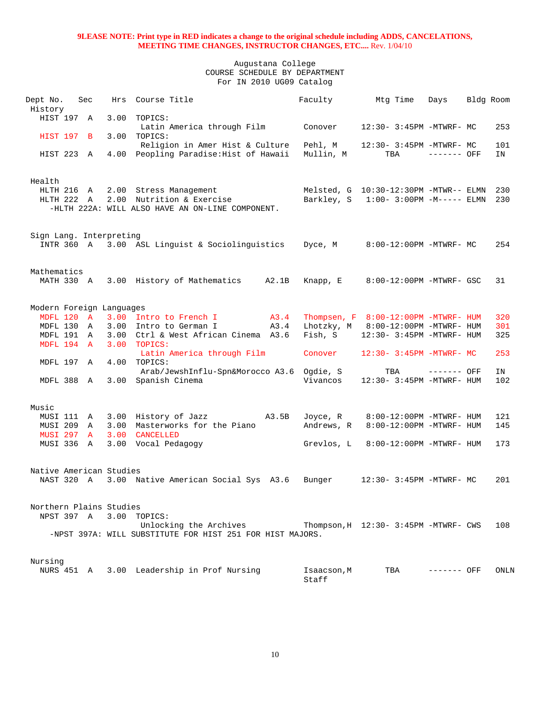| Dept No.                 | Sec |      | Hrs Course Title                                          |       | Faculty     | Mtg Time                              | Days         | Bldg Room |      |
|--------------------------|-----|------|-----------------------------------------------------------|-------|-------------|---------------------------------------|--------------|-----------|------|
| History                  |     |      |                                                           |       |             |                                       |              |           |      |
| HIST 197 A               |     | 3.00 | TOPICS:                                                   |       |             |                                       |              |           |      |
|                          |     |      | Latin America through Film                                |       | Conover     | 12:30- 3:45PM -MTWRF- MC              |              |           | 253  |
| HIST 197 B               |     | 3.00 | TOPICS:                                                   |       |             |                                       |              |           |      |
|                          |     |      | Religion in Amer Hist & Culture                           |       | Pehl, M     | 12:30- 3:45PM -MTWRF- MC              |              |           | 101  |
| HIST 223 A               |     |      | 4.00 Peopling Paradise: Hist of Hawaii                    |       | Mullin, M   | TBA                                   | $------$ OFF |           | IN   |
|                          |     |      |                                                           |       |             |                                       |              |           |      |
|                          |     |      |                                                           |       |             |                                       |              |           |      |
| Health                   |     |      |                                                           |       |             |                                       |              |           |      |
| HLTH 216 A               |     |      | 2.00 Stress Management                                    |       |             | Melsted, G 10:30-12:30PM -MTWR-- ELMN |              |           | 230  |
| HLTH 222 A               |     |      | 2.00 Nutrition & Exercise                                 |       | Barkley, S  | $1:00-3:00PM -M-----$ ELMN            |              |           | 230  |
|                          |     |      | -HLTH 222A: WILL ALSO HAVE AN ON-LINE COMPONENT.          |       |             |                                       |              |           |      |
|                          |     |      |                                                           |       |             |                                       |              |           |      |
|                          |     |      |                                                           |       |             |                                       |              |           |      |
| Sign Lang. Interpreting  |     |      |                                                           |       |             |                                       |              |           |      |
| INTR 360 A               |     |      | 3.00 ASL Linguist & Sociolinguistics                      |       | Dyce, M     | 8:00-12:00PM -MTWRF- MC               |              |           | 254  |
|                          |     |      |                                                           |       |             |                                       |              |           |      |
|                          |     |      |                                                           |       |             |                                       |              |           |      |
|                          |     |      |                                                           |       |             |                                       |              |           |      |
| Mathematics              |     |      |                                                           |       |             |                                       |              |           |      |
| MATH 330 A               |     |      | 3.00 History of Mathematics                               | A2.1B | Knapp, E    | 8:00-12:00PM -MTWRF- GSC              |              |           | 31   |
|                          |     |      |                                                           |       |             |                                       |              |           |      |
|                          |     |      |                                                           |       |             |                                       |              |           |      |
| Modern Foreign Languages |     |      |                                                           |       |             |                                       |              |           |      |
| MDFL 120 A               |     |      | 3.00 Intro to French I<br><b>A3.4</b>                     |       |             | Thompsen, F 8:00-12:00PM -MTWRF- HUM  |              |           | 320  |
| MDFL 130                 | A   | 3.00 | Intro to German I                                         | A3.4  |             | Lhotzky, M 8:00-12:00PM -MTWRF- HUM   |              |           | 301  |
| MDFL 191 A               |     |      | 3.00 Ctrl & West African Cinema A3.6                      |       | Fish, S     | 12:30- 3:45PM -MTWRF- HUM             |              |           | 325  |
| MDFL 194 A               |     | 3.00 | TOPICS:                                                   |       |             |                                       |              |           |      |
|                          |     |      | Latin America through Film                                |       | Conover     | $12:30 - 3:45PM - MTWRF - MC$         |              |           | 253  |
| MDFL 197 A               |     | 4.00 | TOPICS:                                                   |       |             |                                       |              |           |      |
|                          |     |      | Arab/JewshInflu-Spn&Morocco A3.6 Ogdie, S                 |       |             | TBA                                   | ------- OFF  |           | IN   |
| MDFL 388 A               |     |      | 3.00 Spanish Cinema                                       |       | Vivancos    | 12:30- 3:45PM -MTWRF- HUM             |              |           | 102  |
|                          |     |      |                                                           |       |             |                                       |              |           |      |
|                          |     |      |                                                           |       |             |                                       |              |           |      |
| Music                    |     |      |                                                           |       |             |                                       |              |           |      |
| MUSI 111 A               |     |      | 3.00 History of Jazz A3.5B                                |       | Joyce, R    | 8:00-12:00PM -MTWRF- HUM              |              |           | 121  |
| <b>MUSI 209</b>          | A   | 3.00 | Masterworks for the Piano                                 |       | Andrews, R  | 8:00-12:00PM -MTWRF- HUM              |              |           | 145  |
| <b>MUSI 297</b>          | A   | 3.00 | <b>CANCELLED</b>                                          |       |             |                                       |              |           |      |
| MUSI 336                 | A   |      | 3.00 Vocal Pedagogy                                       |       | Grevlos, L  | 8:00-12:00PM -MTWRF- HUM              |              |           | 173  |
|                          |     |      |                                                           |       |             |                                       |              |           |      |
|                          |     |      |                                                           |       |             |                                       |              |           |      |
| Native American Studies  |     |      |                                                           |       |             |                                       |              |           |      |
| NAST 320 A               |     |      | 3.00 Native American Social Sys A3.6                      |       | Bunger      | 12:30- 3:45PM -MTWRF- MC              |              |           | 201  |
|                          |     |      |                                                           |       |             |                                       |              |           |      |
|                          |     |      |                                                           |       |             |                                       |              |           |      |
|                          |     |      |                                                           |       |             |                                       |              |           |      |
| Northern Plains Studies  |     |      |                                                           |       |             |                                       |              |           |      |
| NPST 397 A               |     |      | 3.00 TOPICS:                                              |       |             |                                       |              |           |      |
|                          |     |      | Unlocking the Archives                                    |       |             | Thompson, H 12:30- 3:45PM -MTWRF- CWS |              |           | 108  |
|                          |     |      | -NPST 397A: WILL SUBSTITUTE FOR HIST 251 FOR HIST MAJORS. |       |             |                                       |              |           |      |
|                          |     |      |                                                           |       |             |                                       |              |           |      |
|                          |     |      |                                                           |       |             |                                       |              |           |      |
| Nursing                  |     |      |                                                           |       |             |                                       |              |           |      |
| NURS 451 A               |     |      | 3.00 Leadership in Prof Nursing                           |       | Isaacson, M | TBA                                   | ------- OFF  |           | ONLN |
|                          |     |      |                                                           |       | Staff       |                                       |              |           |      |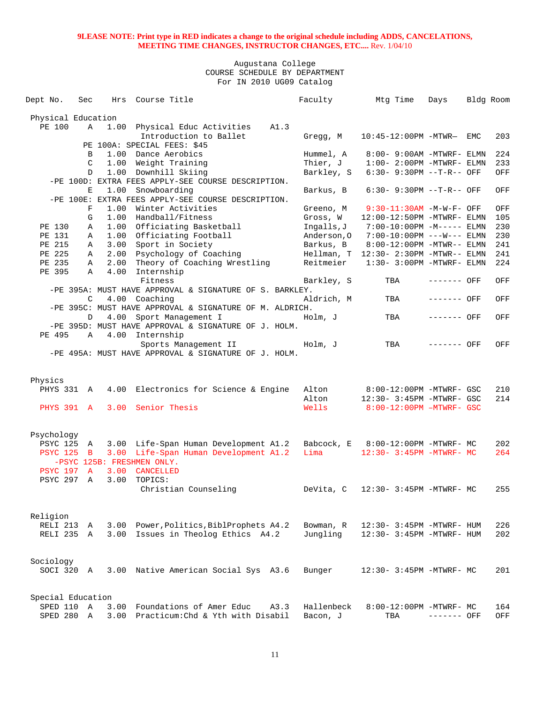| Dept No.           | Sec         | Hrs  | Course Title                                            | Faculty     | Mtg Time                                | Days        | Bldg Room |     |
|--------------------|-------------|------|---------------------------------------------------------|-------------|-----------------------------------------|-------------|-----------|-----|
| Physical Education |             |      |                                                         |             |                                         |             |           |     |
| PE 100             | A           |      | 1.00 Physical Educ Activities<br>A1.3                   |             |                                         |             |           |     |
|                    |             |      | Introduction to Ballet                                  | Gregg, M    | 10:45-12:00PM -MTWR- EMC                |             |           | 203 |
|                    |             |      | PE 100A: SPECIAL FEES: \$45                             |             |                                         |             |           |     |
|                    | B           |      | 1.00 Dance Aerobics                                     | Hummel, A   | 8:00- 9:00AM -MTWRF- ELMN               |             |           | 224 |
|                    | C           | 1.00 | Weight Training                                         | Thier, J    | $1:00-2:00PM -MTWRF-ELM$                |             |           | 233 |
|                    | D           |      | 1.00 Downhill Skiing                                    | Barkley, S  | $6:30 - 9:30PM -T-R--OFF$               |             |           | OFF |
|                    |             |      | -PE 100D: EXTRA FEES APPLY-SEE COURSE DESCRIPTION.      |             |                                         |             |           |     |
|                    | Е           | 1.00 | Snowboarding                                            | Barkus, B   | $6:30 - 9:30PM -T-R--$ OFF              |             |           | OFF |
|                    |             |      | -PE 100E: EXTRA FEES APPLY-SEE COURSE DESCRIPTION.      |             |                                         |             |           |     |
|                    | F           | 1.00 | Winter Activities                                       | Greeno, M   | $9:30-11:30AM$ -M-W-F- OFF              |             |           | OFF |
|                    | G           |      | 1.00 Handball/Fitness                                   | Gross, W    | 12:00-12:50PM -MTWRF- ELMN              |             |           | 105 |
| PE 130             | Α           |      | 1.00 Officiating Basketball                             | Ingalls, J  | 7:00-10:00PM -M----- ELMN               |             |           | 230 |
| PE 131             | Α           |      | 1.00 Officiating Football                               | Anderson, 0 | $7:00-10:00PM$ ---W--- ELMN             |             |           | 230 |
| PE 215             | A           |      | 3.00 Sport in Society                                   | Barkus, B   | 8:00-12:00PM -MTWR-- ELMN               |             |           | 241 |
| PE 225             | Α           |      | 2.00 Psychology of Coaching                             |             | $Hellman, T 12:30-2:30PM - MTWR-- ELMN$ |             |           | 241 |
| PE 235             | Α           | 2.00 | Theory of Coaching Wrestling                            | Reitmeier   | $1:30 - 3:00$ PM -MTWRF- ELMN           |             |           | 224 |
| PE 395             | A           | 4.00 | Internship                                              |             |                                         |             |           |     |
|                    |             |      | Fitness                                                 | Barkley, S  | TBA                                     | ------- OFF |           | OFF |
|                    |             |      | -PE 395A: MUST HAVE APPROVAL & SIGNATURE OF S. BARKLEY. |             |                                         |             |           |     |
|                    | C           |      | 4.00 Coaching                                           | Aldrich, M  | TBA                                     | ------- OFF |           | OFF |
|                    |             |      | -PE 395C: MUST HAVE APPROVAL & SIGNATURE OF M. ALDRICH. |             |                                         |             |           |     |
|                    | D           |      | 4.00 Sport Management I                                 | Holm, J     | TBA                                     | ------- OFF |           | OFF |
|                    |             |      | -PE 395D: MUST HAVE APPROVAL & SIGNATURE OF J. HOLM.    |             |                                         |             |           |     |
| PE 495             | A           |      | 4.00 Internship                                         |             |                                         |             |           |     |
|                    |             |      | Sports Management II                                    | Holm, J     | TBA                                     | ------- OFF |           | OFF |
|                    |             |      | -PE 495A: MUST HAVE APPROVAL & SIGNATURE OF J. HOLM.    |             |                                         |             |           |     |
|                    |             |      |                                                         |             |                                         |             |           |     |
|                    |             |      |                                                         |             |                                         |             |           |     |
| Physics            |             |      |                                                         |             |                                         |             |           |     |
| PHYS 331 A         |             |      | 4.00 Electronics for Science & Engine                   | Alton       | 8:00-12:00PM -MTWRF- GSC                |             |           | 210 |
|                    |             |      |                                                         | Alton       | 12:30- 3:45PM -MTWRF- GSC               |             |           | 214 |
| PHYS 391 A         |             |      | 3.00 Senior Thesis                                      | Wells       | 8:00-12:00PM -MTWRF- GSC                |             |           |     |
|                    |             |      |                                                         |             |                                         |             |           |     |
|                    |             |      |                                                         |             |                                         |             |           |     |
| Psychology         |             |      |                                                         |             |                                         |             |           |     |
| PSYC 125 A         |             |      | 3.00 Life-Span Human Development A1.2                   |             | Babcock, E 8:00-12:00PM -MTWRF- MC      |             |           | 202 |
| <b>PSYC 125 B</b>  |             |      | 3.00 Life-Span Human Development A1.2                   | Lima        | $12:30 - 3:45PM - MTWRF - MC$           |             |           | 264 |
|                    |             |      | -PSYC 125B: FRESHMEN ONLY.                              |             |                                         |             |           |     |
| <b>PSYC 197 A</b>  |             | 3.00 | CANCELLED                                               |             |                                         |             |           |     |
| PSYC 297           | Α           | 3.00 | TOPICS:                                                 |             |                                         |             |           |     |
|                    |             |      | Christian Counseling                                    | DeVita, C   | 12:30- 3:45PM -MTWRF- MC                |             |           | 255 |
|                    |             |      |                                                         |             |                                         |             |           |     |
|                    |             |      |                                                         |             |                                         |             |           |     |
| Religion           |             |      |                                                         |             |                                         |             |           |     |
| RELI 213           | A           |      | 3.00 Power, Politics, BiblProphets A4.2                 | Bowman, R   | 12:30- 3:45PM -MTWRF- HUM               |             |           | 226 |
| RELI 235 A         |             | 3.00 | Issues in Theolog Ethics A4.2                           | Jungling    | 12:30- 3:45PM -MTWRF- HUM               |             |           | 202 |
|                    |             |      |                                                         |             |                                         |             |           |     |
| Sociology          |             |      |                                                         |             |                                         |             |           |     |
|                    |             |      |                                                         |             |                                         |             |           |     |
| SOCI 320 A         |             | 3.00 | Native American Social Sys A3.6                         | Bunger      | 12:30- 3:45PM -MTWRF- MC                |             |           | 201 |
|                    |             |      |                                                         |             |                                         |             |           |     |
| Special Education  |             |      |                                                         |             |                                         |             |           |     |
| SPED 110           | $\mathbb A$ | 3.00 | Foundations of Amer Educ<br>A3.3                        | Hallenbeck  | 8:00-12:00PM -MTWRF- MC                 |             |           | 164 |
| SPED 280           | Α           |      | 3.00 Practicum: Chd & Yth with Disabil                  | Bacon, J    | TBA                                     | ------- OFF |           | OFF |
|                    |             |      |                                                         |             |                                         |             |           |     |